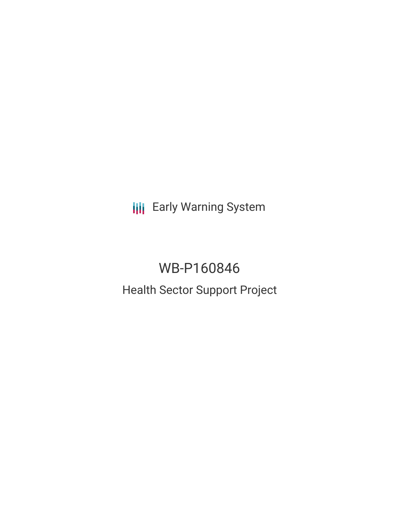**III** Early Warning System

# WB-P160846 Health Sector Support Project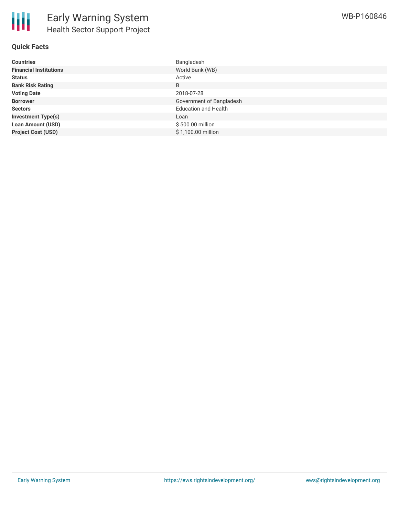

| Countries                     | Bangladesh                  |
|-------------------------------|-----------------------------|
| <b>Financial Institutions</b> | World Bank (WB)             |
| Status                        | Active                      |
| <b>Bank Risk Rating</b>       | B                           |
| <b>Voting Date</b>            | 2018-07-28                  |
| <b>Borrower</b>               | Government of Bangladesh    |
| Sectors                       | <b>Education and Health</b> |
| <b>Investment Type(s)</b>     | Loan                        |
| <b>Loan Amount (USD)</b>      | \$500.00 million            |
| <b>Project Cost (USD)</b>     | \$1,100.00 million          |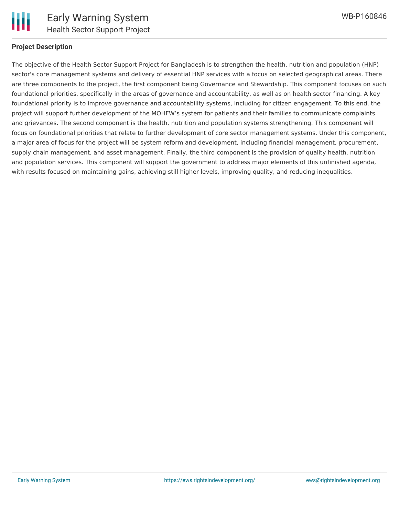

#### **Project Description**

The objective of the Health Sector Support Project for Bangladesh is to strengthen the health, nutrition and population (HNP) sector's core management systems and delivery of essential HNP services with a focus on selected geographical areas. There are three components to the project, the first component being Governance and Stewardship. This component focuses on such foundational priorities, specifically in the areas of governance and accountability, as well as on health sector financing. A key foundational priority is to improve governance and accountability systems, including for citizen engagement. To this end, the project will support further development of the MOHFW's system for patients and their families to communicate complaints and grievances. The second component is the health, nutrition and population systems strengthening. This component will focus on foundational priorities that relate to further development of core sector management systems. Under this component, a major area of focus for the project will be system reform and development, including financial management, procurement, supply chain management, and asset management. Finally, the third component is the provision of quality health, nutrition and population services. This component will support the government to address major elements of this unfinished agenda, with results focused on maintaining gains, achieving still higher levels, improving quality, and reducing inequalities.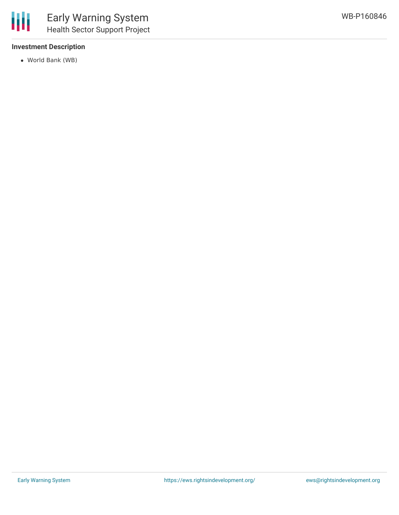## **Investment Description**

World Bank (WB)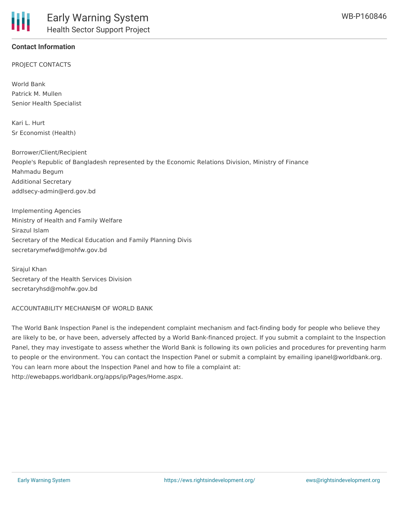## **Contact Information**

PROJECT CONTACTS

World Bank Patrick M. Mullen Senior Health Specialist

Kari L. Hurt Sr Economist (Health)

Borrower/Client/Recipient People's Republic of Bangladesh represented by the Economic Relations Division, Ministry of Finance Mahmadu Begum Additional Secretary addlsecy-admin@erd.gov.bd

Implementing Agencies Ministry of Health and Family Welfare Sirazul Islam Secretary of the Medical Education and Family Planning Divis secretarymefwd@mohfw.gov.bd

Siraiul Khan Secretary of the Health Services Division secretaryhsd@mohfw.gov.bd

ACCOUNTABILITY MECHANISM OF WORLD BANK

The World Bank Inspection Panel is the independent complaint mechanism and fact-finding body for people who believe they are likely to be, or have been, adversely affected by a World Bank-financed project. If you submit a complaint to the Inspection Panel, they may investigate to assess whether the World Bank is following its own policies and procedures for preventing harm to people or the environment. You can contact the Inspection Panel or submit a complaint by emailing ipanel@worldbank.org. You can learn more about the Inspection Panel and how to file a complaint at: http://ewebapps.worldbank.org/apps/ip/Pages/Home.aspx.